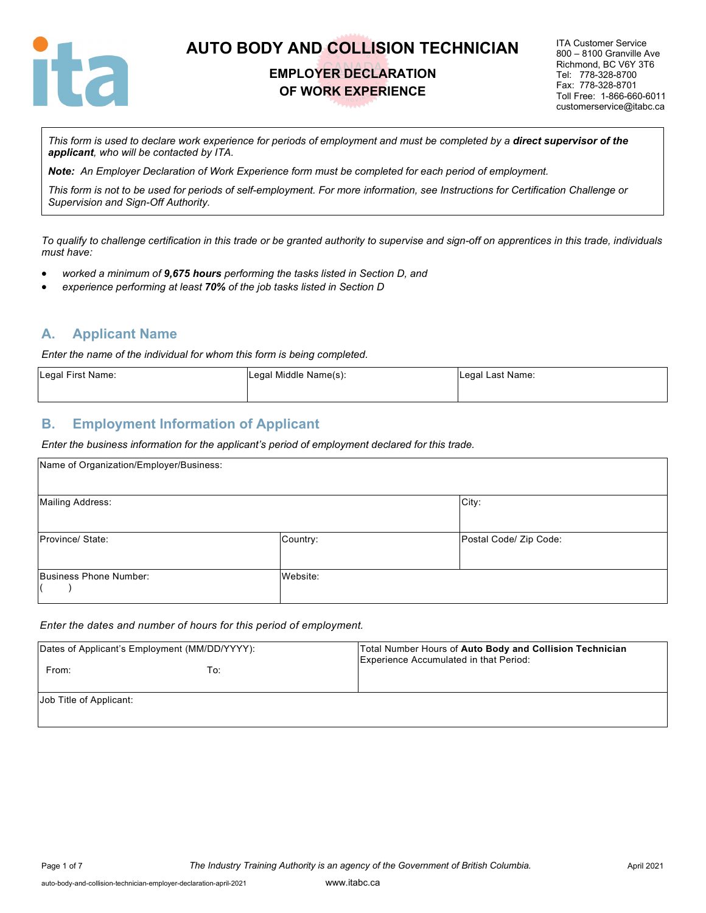

## **EMPLOYER DECLARATION OF WORK EXPERIENCE**

ITA Customer Service 800 – 8100 Granville Ave Richmond, BC V6Y 3T6 Tel: 778-328-8700 Fax: 778-328-8701 Toll Free: 1-866-660-6011 customerservice@itabc.ca

*This form is used to declare work experience for periods of employment and must be completed by a direct supervisor of the applicant, who will be contacted by ITA.*

*Note: An Employer Declaration of Work Experience form must be completed for each period of employment.*

*This form is not to be used for periods of self-employment. For more information, see Instructions for Certification Challenge or Supervision and Sign-Off Authority.*

*To qualify to challenge certification in this trade or be granted authority to supervise and sign-off on apprentices in this trade, individuals must have:*

- *worked a minimum of 9,675 hours performing the tasks listed in Section D, and*
- *experience performing at least 70% of the job tasks listed in Section D*

#### **A. Applicant Name**

*Enter the name of the individual for whom this form is being completed.*

| Legal First Name: | Legal Middle Name(s): | Legal Last Name: |
|-------------------|-----------------------|------------------|
|                   |                       |                  |

#### **B. Employment Information of Applicant**

*Enter the business information for the applicant's period of employment declared for this trade.*

| Name of Organization/Employer/Business: |          |                        |
|-----------------------------------------|----------|------------------------|
| <b>Mailing Address:</b>                 |          | City:                  |
| Province/ State:                        | Country: | Postal Code/ Zip Code: |
| Business Phone Number:                  | Website: |                        |

#### *Enter the dates and number of hours for this period of employment.*

| Dates of Applicant's Employment (MM/DD/YYYY): |     | Total Number Hours of Auto Body and Collision Technician<br>Experience Accumulated in that Period: |
|-----------------------------------------------|-----|----------------------------------------------------------------------------------------------------|
| From:                                         | To: |                                                                                                    |
| Job Title of Applicant:                       |     |                                                                                                    |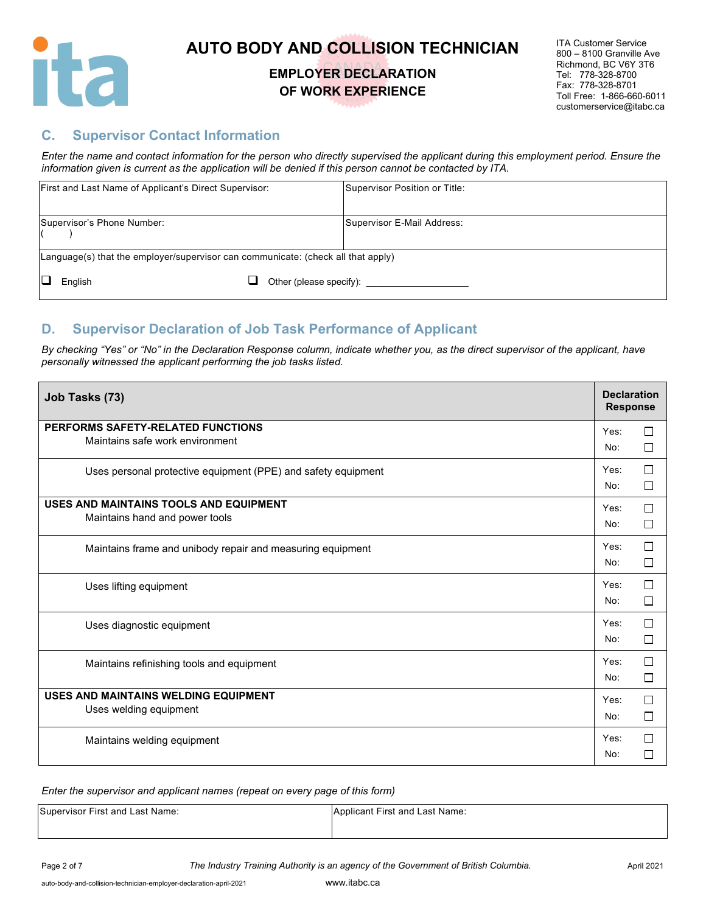

### **EMPLOYER DECLARATION OF WORK EXPERIENCE**

ITA Customer Service 800 – 8100 Granville Ave Richmond, BC V6Y 3T6 Tel: 778-328-8700 Fax: 778-328-8701 Toll Free: 1-866-660-6011 customerservice@itabc.ca

### **C. Supervisor Contact Information**

*Enter the name and contact information for the person who directly supervised the applicant during this employment period. Ensure the information given is current as the application will be denied if this person cannot be contacted by ITA.*

| First and Last Name of Applicant's Direct Supervisor:                                      | Supervisor Position or Title: |
|--------------------------------------------------------------------------------------------|-------------------------------|
| Supervisor's Phone Number:                                                                 | Supervisor E-Mail Address:    |
| $\lfloor$ Language(s) that the employer/supervisor can communicate: (check all that apply) |                               |
| English                                                                                    |                               |

### **D. Supervisor Declaration of Job Task Performance of Applicant**

*By checking "Yes" or "No" in the Declaration Response column, indicate whether you, as the direct supervisor of the applicant, have personally witnessed the applicant performing the job tasks listed.* 

| Job Tasks (73)                                                | <b>Declaration</b><br><b>Response</b> |        |
|---------------------------------------------------------------|---------------------------------------|--------|
| PERFORMS SAFETY-RELATED FUNCTIONS                             | Yes:                                  | $\Box$ |
| Maintains safe work environment                               | No:                                   | $\Box$ |
| Uses personal protective equipment (PPE) and safety equipment | Yes:                                  | $\Box$ |
|                                                               | No:                                   | $\Box$ |
| USES AND MAINTAINS TOOLS AND EQUIPMENT                        | Yes:                                  | $\Box$ |
| Maintains hand and power tools                                | No:                                   | $\Box$ |
| Maintains frame and unibody repair and measuring equipment    | Yes:                                  | $\Box$ |
|                                                               | No:                                   | $\Box$ |
| Uses lifting equipment                                        | Yes:                                  | $\Box$ |
|                                                               | No:                                   | $\Box$ |
| Uses diagnostic equipment                                     | Yes:                                  | $\Box$ |
|                                                               | No:                                   | $\Box$ |
| Maintains refinishing tools and equipment                     | Yes:                                  | $\Box$ |
|                                                               | No:                                   | $\Box$ |
| USES AND MAINTAINS WELDING EQUIPMENT                          | Yes:                                  | $\Box$ |
| Uses welding equipment                                        | No:                                   | $\Box$ |
| Maintains welding equipment                                   | Yes:                                  | $\Box$ |
|                                                               | No:                                   | □      |

| Supervisor First and Last Name: | Applicant First and Last Name: |
|---------------------------------|--------------------------------|
|                                 |                                |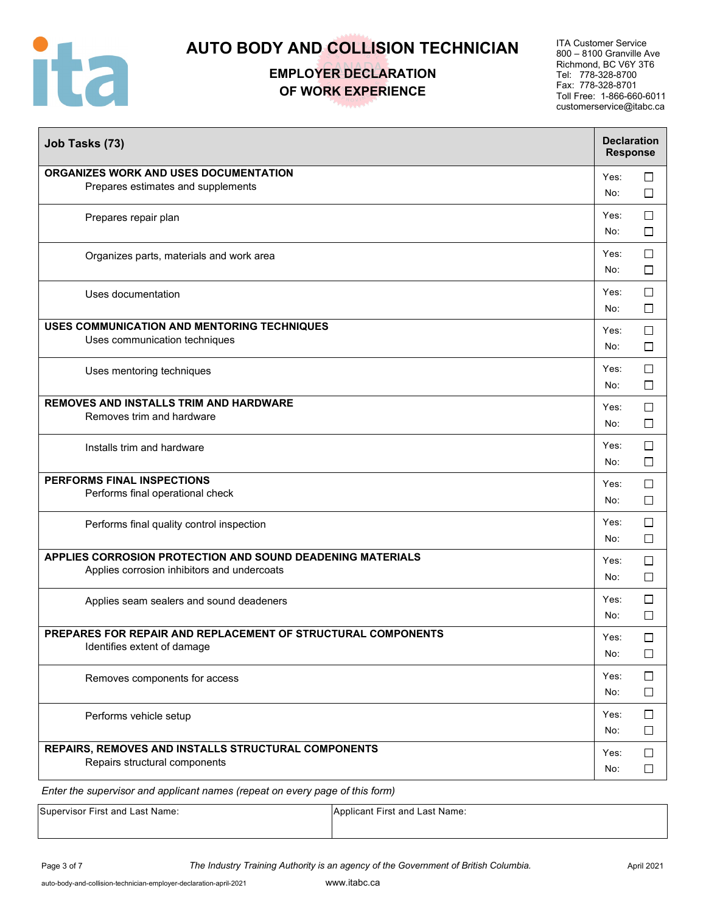

## **EMPLOYER DECLARATION OF WORK EXPERIENCE**

ITA Customer Service 800 – 8100 Granville Ave Richmond, BC V6Y 3T6 Tel: 778-328-8700 Fax: 778-328-8701 Toll Free: 1-866-660-6011 customerservice@itabc.ca

| Job Tasks (73)                                                                                            |             | <b>Declaration</b><br><b>Response</b> |
|-----------------------------------------------------------------------------------------------------------|-------------|---------------------------------------|
| ORGANIZES WORK AND USES DOCUMENTATION<br>Prepares estimates and supplements                               | Yes:<br>No: | $\Box$<br>$\Box$                      |
| Prepares repair plan                                                                                      | Yes:<br>No: | $\Box$<br>$\Box$                      |
| Organizes parts, materials and work area                                                                  | Yes:<br>No: | $\Box$<br>$\Box$                      |
| Uses documentation                                                                                        | Yes:<br>No: | $\Box$<br>$\Box$                      |
| USES COMMUNICATION AND MENTORING TECHNIQUES<br>Uses communication techniques                              | Yes:<br>No: | $\Box$<br>$\Box$                      |
| Uses mentoring techniques                                                                                 | Yes:<br>No: | $\Box$<br>$\Box$                      |
| <b>REMOVES AND INSTALLS TRIM AND HARDWARE</b><br>Removes trim and hardware                                | Yes:<br>No: | $\Box$<br>□                           |
| Installs trim and hardware                                                                                | Yes:<br>No: | $\Box$<br>□                           |
| PERFORMS FINAL INSPECTIONS<br>Performs final operational check                                            | Yes:<br>No: | $\Box$<br>$\Box$                      |
| Performs final quality control inspection                                                                 | Yes:<br>No: | $\Box$<br>$\Box$                      |
| APPLIES CORROSION PROTECTION AND SOUND DEADENING MATERIALS<br>Applies corrosion inhibitors and undercoats | Yes:<br>No: | □<br>$\Box$                           |
| Applies seam sealers and sound deadeners                                                                  | Yes:<br>No: | $\Box$<br>$\Box$                      |
| PREPARES FOR REPAIR AND REPLACEMENT OF STRUCTURAL COMPONENTS<br>Identifies extent of damage               | Yes:<br>No: | $\Box$<br>$\Box$                      |
| Removes components for access                                                                             | Yes:<br>No: | $\Box$<br>$\Box$                      |
| Performs vehicle setup                                                                                    | Yes:<br>No: | $\Box$<br>$\Box$                      |
| REPAIRS, REMOVES AND INSTALLS STRUCTURAL COMPONENTS<br>Repairs structural components                      | Yes:<br>No: | $\Box$<br>$\Box$                      |
| Enter the supervisor and applicant names (repeat on every page of this form)                              |             |                                       |

| Supervisor First and Last Name: | Applicant First and Last Name: |
|---------------------------------|--------------------------------|
|                                 |                                |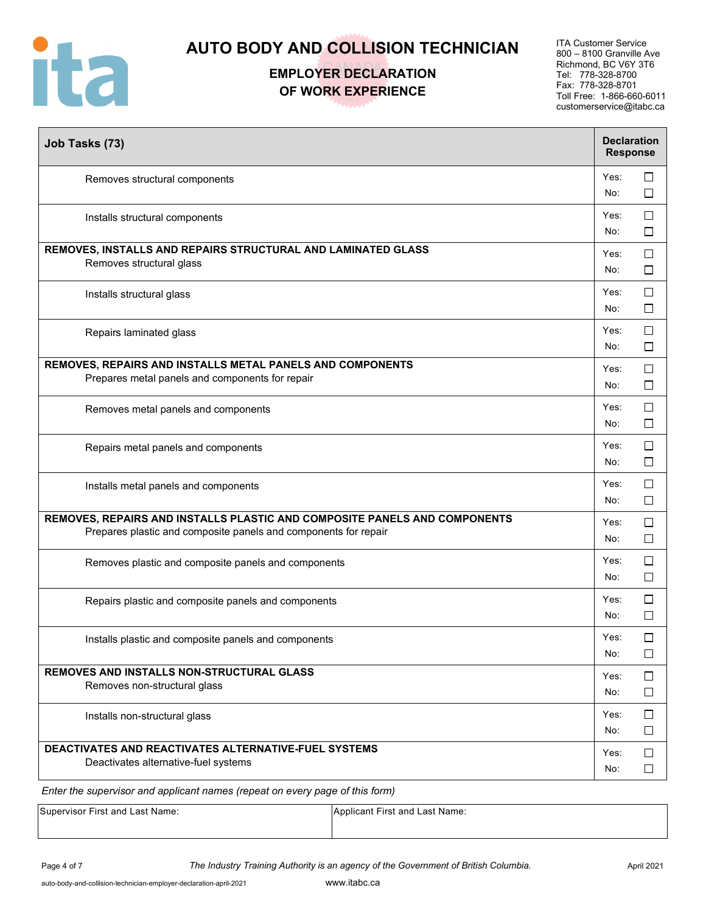

# **EMPLOYER DECLARATION OF WORK EXPERIENCE**

ITA Customer Service 800 – 8100 Granville Ave Richmond, BC V6Y 3T6 Tel: 778-328-8700 Fax: 778-328-8701 Toll Free: 1-866-660-6011 customerservice@itabc.ca

| Yes:<br>$\Box$<br>Removes structural components<br>No:<br>$\Box$<br>□<br>Yes:<br>Installs structural components<br>No:<br>□<br>REMOVES, INSTALLS AND REPAIRS STRUCTURAL AND LAMINATED GLASS<br>$\Box$<br>Yes:<br>Removes structural glass<br>$\Box$<br>No:<br>$\Box$<br>Yes:<br>Installs structural glass<br>No:<br>□<br>$\Box$<br>Yes:<br>Repairs laminated glass<br>$\Box$<br>No:<br>REMOVES, REPAIRS AND INSTALLS METAL PANELS AND COMPONENTS<br>Yes:<br>$\Box$<br>Prepares metal panels and components for repair<br>$\Box$<br>No:<br>□<br>Yes:<br>Removes metal panels and components<br>□<br>No:<br>Yes:<br>$\Box$<br>Repairs metal panels and components<br>$\Box$<br>No:<br>Yes:<br>□<br>Installs metal panels and components<br>$\Box$<br>No:<br>REMOVES, REPAIRS AND INSTALLS PLASTIC AND COMPOSITE PANELS AND COMPONENTS<br>Yes:<br>□<br>Prepares plastic and composite panels and components for repair<br>No:<br>$\Box$<br>Yes:<br>□<br>Removes plastic and composite panels and components<br>No:<br>$\Box$<br>□<br>Yes:<br>Repairs plastic and composite panels and components<br>No:<br>□<br>$\Box$<br>Yes:<br>Installs plastic and composite panels and components<br>No:<br>□<br>REMOVES AND INSTALLS NON-STRUCTURAL GLASS<br>$\Box$<br>Yes:<br>Removes non-structural glass<br>$\Box$<br>No:<br>$\Box$<br>Yes:<br>Installs non-structural glass<br>$\Box$<br>No:<br>DEACTIVATES AND REACTIVATES ALTERNATIVE-FUEL SYSTEMS<br>Yes:<br>$\Box$<br>Deactivates alternative-fuel systems<br>No:<br>□ | Job Tasks (73) | <b>Declaration</b> | <b>Response</b> |
|-------------------------------------------------------------------------------------------------------------------------------------------------------------------------------------------------------------------------------------------------------------------------------------------------------------------------------------------------------------------------------------------------------------------------------------------------------------------------------------------------------------------------------------------------------------------------------------------------------------------------------------------------------------------------------------------------------------------------------------------------------------------------------------------------------------------------------------------------------------------------------------------------------------------------------------------------------------------------------------------------------------------------------------------------------------------------------------------------------------------------------------------------------------------------------------------------------------------------------------------------------------------------------------------------------------------------------------------------------------------------------------------------------------------------------------------------------------------------------------------------------------------|----------------|--------------------|-----------------|
|                                                                                                                                                                                                                                                                                                                                                                                                                                                                                                                                                                                                                                                                                                                                                                                                                                                                                                                                                                                                                                                                                                                                                                                                                                                                                                                                                                                                                                                                                                                   |                |                    |                 |
|                                                                                                                                                                                                                                                                                                                                                                                                                                                                                                                                                                                                                                                                                                                                                                                                                                                                                                                                                                                                                                                                                                                                                                                                                                                                                                                                                                                                                                                                                                                   |                |                    |                 |
|                                                                                                                                                                                                                                                                                                                                                                                                                                                                                                                                                                                                                                                                                                                                                                                                                                                                                                                                                                                                                                                                                                                                                                                                                                                                                                                                                                                                                                                                                                                   |                |                    |                 |
|                                                                                                                                                                                                                                                                                                                                                                                                                                                                                                                                                                                                                                                                                                                                                                                                                                                                                                                                                                                                                                                                                                                                                                                                                                                                                                                                                                                                                                                                                                                   |                |                    |                 |
|                                                                                                                                                                                                                                                                                                                                                                                                                                                                                                                                                                                                                                                                                                                                                                                                                                                                                                                                                                                                                                                                                                                                                                                                                                                                                                                                                                                                                                                                                                                   |                |                    |                 |
|                                                                                                                                                                                                                                                                                                                                                                                                                                                                                                                                                                                                                                                                                                                                                                                                                                                                                                                                                                                                                                                                                                                                                                                                                                                                                                                                                                                                                                                                                                                   |                |                    |                 |
|                                                                                                                                                                                                                                                                                                                                                                                                                                                                                                                                                                                                                                                                                                                                                                                                                                                                                                                                                                                                                                                                                                                                                                                                                                                                                                                                                                                                                                                                                                                   |                |                    |                 |
|                                                                                                                                                                                                                                                                                                                                                                                                                                                                                                                                                                                                                                                                                                                                                                                                                                                                                                                                                                                                                                                                                                                                                                                                                                                                                                                                                                                                                                                                                                                   |                |                    |                 |
|                                                                                                                                                                                                                                                                                                                                                                                                                                                                                                                                                                                                                                                                                                                                                                                                                                                                                                                                                                                                                                                                                                                                                                                                                                                                                                                                                                                                                                                                                                                   |                |                    |                 |
|                                                                                                                                                                                                                                                                                                                                                                                                                                                                                                                                                                                                                                                                                                                                                                                                                                                                                                                                                                                                                                                                                                                                                                                                                                                                                                                                                                                                                                                                                                                   |                |                    |                 |
|                                                                                                                                                                                                                                                                                                                                                                                                                                                                                                                                                                                                                                                                                                                                                                                                                                                                                                                                                                                                                                                                                                                                                                                                                                                                                                                                                                                                                                                                                                                   |                |                    |                 |
|                                                                                                                                                                                                                                                                                                                                                                                                                                                                                                                                                                                                                                                                                                                                                                                                                                                                                                                                                                                                                                                                                                                                                                                                                                                                                                                                                                                                                                                                                                                   |                |                    |                 |
|                                                                                                                                                                                                                                                                                                                                                                                                                                                                                                                                                                                                                                                                                                                                                                                                                                                                                                                                                                                                                                                                                                                                                                                                                                                                                                                                                                                                                                                                                                                   |                |                    |                 |
|                                                                                                                                                                                                                                                                                                                                                                                                                                                                                                                                                                                                                                                                                                                                                                                                                                                                                                                                                                                                                                                                                                                                                                                                                                                                                                                                                                                                                                                                                                                   |                |                    |                 |
|                                                                                                                                                                                                                                                                                                                                                                                                                                                                                                                                                                                                                                                                                                                                                                                                                                                                                                                                                                                                                                                                                                                                                                                                                                                                                                                                                                                                                                                                                                                   |                |                    |                 |
|                                                                                                                                                                                                                                                                                                                                                                                                                                                                                                                                                                                                                                                                                                                                                                                                                                                                                                                                                                                                                                                                                                                                                                                                                                                                                                                                                                                                                                                                                                                   |                |                    |                 |

| Supervisor First and Last Name: | Applicant First and Last Name: |
|---------------------------------|--------------------------------|
|                                 |                                |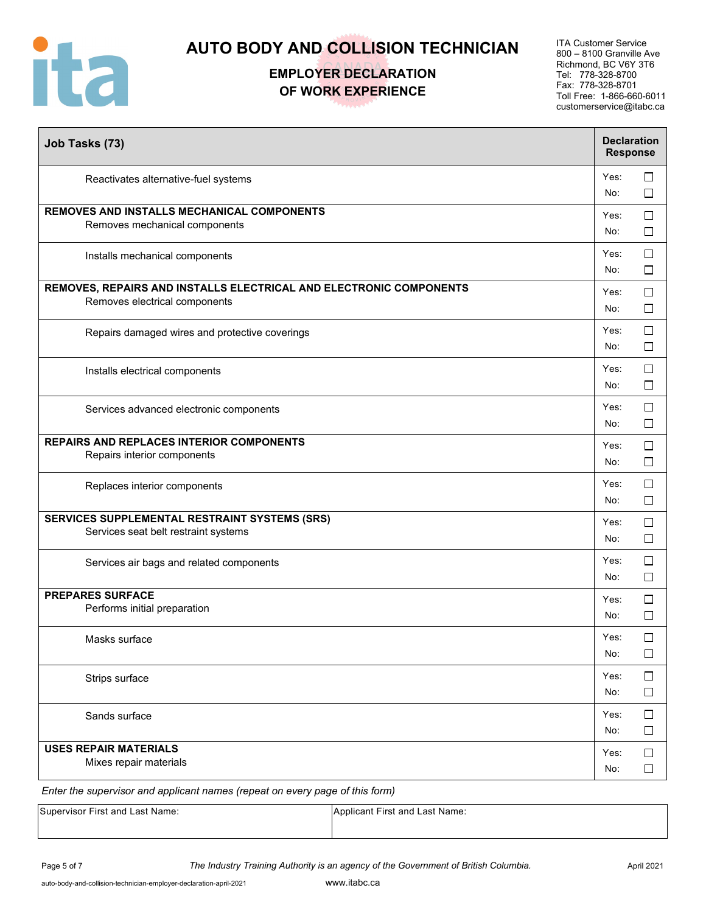

# **EMPLOYER DECLARATION OF WORK EXPERIENCE**

ITA Customer Service 800 – 8100 Granville Ave Richmond, BC V6Y 3T6 Tel: 778-328-8700 Fax: 778-328-8701 Toll Free: 1-866-660-6011 customerservice@itabc.ca

| Job Tasks (73)                                                                                      | <b>Declaration</b><br><b>Response</b> |                  |
|-----------------------------------------------------------------------------------------------------|---------------------------------------|------------------|
| Reactivates alternative-fuel systems                                                                | Yes:<br>No:                           | □<br>□           |
| REMOVES AND INSTALLS MECHANICAL COMPONENTS<br>Removes mechanical components                         | Yes:<br>No:                           | ⊔<br>$\Box$      |
| Installs mechanical components                                                                      | Yes:<br>No:                           | $\Box$<br>□      |
| REMOVES, REPAIRS AND INSTALLS ELECTRICAL AND ELECTRONIC COMPONENTS<br>Removes electrical components | Yes:<br>No:                           | $\Box$<br>□      |
| Repairs damaged wires and protective coverings                                                      | Yes:<br>No:                           | □<br>$\Box$      |
| Installs electrical components                                                                      | Yes:<br>No:                           | □<br>$\Box$      |
| Services advanced electronic components                                                             | Yes:<br>No:                           | $\Box$<br>□      |
| <b>REPAIRS AND REPLACES INTERIOR COMPONENTS</b><br>Repairs interior components                      | Yes:<br>No:                           | $\Box$<br>□      |
| Replaces interior components                                                                        | Yes:<br>No:                           | $\Box$<br>$\Box$ |
| SERVICES SUPPLEMENTAL RESTRAINT SYSTEMS (SRS)<br>Services seat belt restraint systems               | Yes:<br>No:                           | $\Box$<br>$\Box$ |
| Services air bags and related components                                                            | Yes:<br>No:                           | □<br>$\Box$      |
| <b>PREPARES SURFACE</b><br>Performs initial preparation                                             | Yes:<br>No:                           | □<br>□           |
| Masks surface                                                                                       | Yes:<br>No:                           | $\Box$<br>$\Box$ |
| Strips surface                                                                                      | Yes:<br>No:                           | $\Box$<br>$\Box$ |
| Sands surface                                                                                       | Yes:<br>No:                           | $\Box$<br>$\Box$ |
| <b>USES REPAIR MATERIALS</b><br>Mixes repair materials                                              | Yes:<br>No:                           | $\Box$<br>$\Box$ |

| Supervisor First and Last Name: | Applicant First and Last Name: |
|---------------------------------|--------------------------------|
|                                 |                                |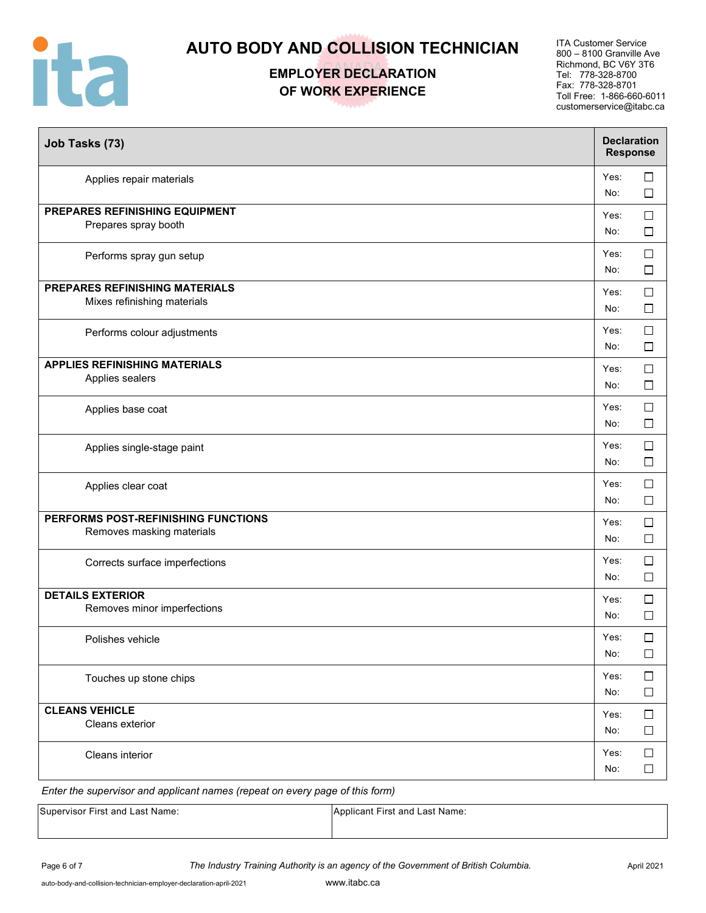

**EMPLOYER DECLARATION OF WORK EXPERIENCE** 

ITA Customer Service 800 – 8100 Granville Ave Richmond, BC V6Y 3T6 Tel: 778-328-8700 Fax: 778-328-8701 Toll Free: 1-866-660-6011 customerservice@itabc.ca

| Job Tasks (73)                                                       | <b>Declaration</b><br><b>Response</b> |                  |
|----------------------------------------------------------------------|---------------------------------------|------------------|
| Applies repair materials                                             | Yes:<br>No:                           | $\Box$<br>$\Box$ |
| PREPARES REFINISHING EQUIPMENT<br>Prepares spray booth               | Yes:<br>No:                           | $\Box$<br>$\Box$ |
| Performs spray gun setup                                             | Yes:<br>No:                           | $\Box$<br>$\Box$ |
| <b>PREPARES REFINISHING MATERIALS</b><br>Mixes refinishing materials | Yes:<br>No:                           | $\Box$<br>$\Box$ |
| Performs colour adjustments                                          | Yes:<br>No:                           | $\Box$<br>$\Box$ |
| <b>APPLIES REFINISHING MATERIALS</b><br>Applies sealers              | Yes:<br>No:                           | $\Box$<br>$\Box$ |
| Applies base coat                                                    | Yes:<br>No:                           | $\Box$<br>$\Box$ |
| Applies single-stage paint                                           | Yes:<br>No:                           | $\Box$<br>$\Box$ |
| Applies clear coat                                                   | Yes:<br>No:                           | □<br>$\Box$      |
| PERFORMS POST-REFINISHING FUNCTIONS<br>Removes masking materials     | Yes:<br>No:                           | $\Box$<br>$\Box$ |
| Corrects surface imperfections                                       | Yes:<br>No:                           | $\Box$<br>$\Box$ |
| <b>DETAILS EXTERIOR</b><br>Removes minor imperfections               | Yes:<br>No:                           | $\Box$<br>$\Box$ |
| Polishes vehicle                                                     | Yes:<br>No:                           | $\Box$<br>$\Box$ |
| Touches up stone chips                                               | Yes:<br>No:                           | $\Box$<br>$\Box$ |
| <b>CLEANS VEHICLE</b><br>Cleans exterior                             | Yes:<br>No:                           | $\Box$<br>$\Box$ |
| Cleans interior                                                      | Yes:<br>No:                           | $\Box$<br>$\Box$ |

| <b>Supervisor First and Last Name:</b> | Applicant First and Last Name: |
|----------------------------------------|--------------------------------|
|                                        |                                |